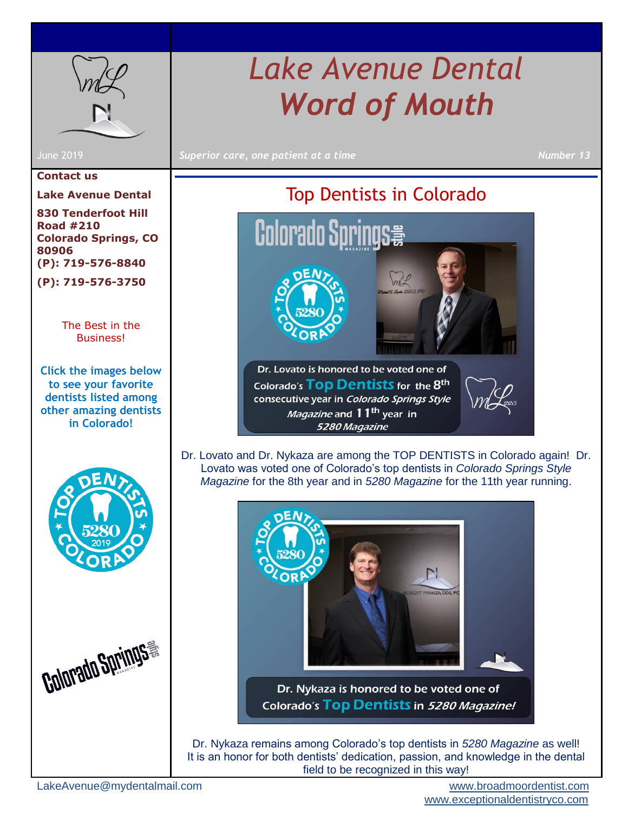

#### **Contact us**

**Lake Avenue Dental**

**830 Tenderfoot Hill Road #210 Colorado Springs, CO 80906 (P): 719-576-8840**

**(P): 719-576-3750**

[The Best in the](#page-0-0)  [Business!](#page-0-0)

**Click the images below to see your favorite dentists listed among other amazing dentists in Colorado!**





# *Lake Avenue Dental Word of Mouth*

June 2019 *Superior care, one patient at a time Number 13*

## Top Dentists in Colorado

mal

<span id="page-0-0"></span>

Dr. Lovato is honored to be voted one of Colorado's TOD Dentists for the 8<sup>th</sup> consecutive year in Colorado Springs Style *Magazine* and 11<sup>th</sup> year in 5280 Magazine

Dr. Lovato and Dr. Nykaza are among the TOP DENTISTS in Colorado again! Dr. Lovato was voted one of Colorado's top dentists in *Colorado Springs Style Magazine* for the 8th year and in *5280 Magazine* for the 11th year running.



Dr. Nykaza is honored to be voted one of Colorado's Top Dentists in 5280 Magazine!

Dr. Nykaza remains among Colorado's top dentists in *5280 Magazine* as well! It is an honor for both dentists' dedication, passion, and knowledge in the dental field to be recognized in this way!

LakeAvenue@mydentalmail.com [www.broadmoordentist.com](http://www.broadmoordentist.com/) 

[www.exceptionaldentistryco.com](file:///C:/Users/alang/Downloads/www.exceptionaldentistryco.com)